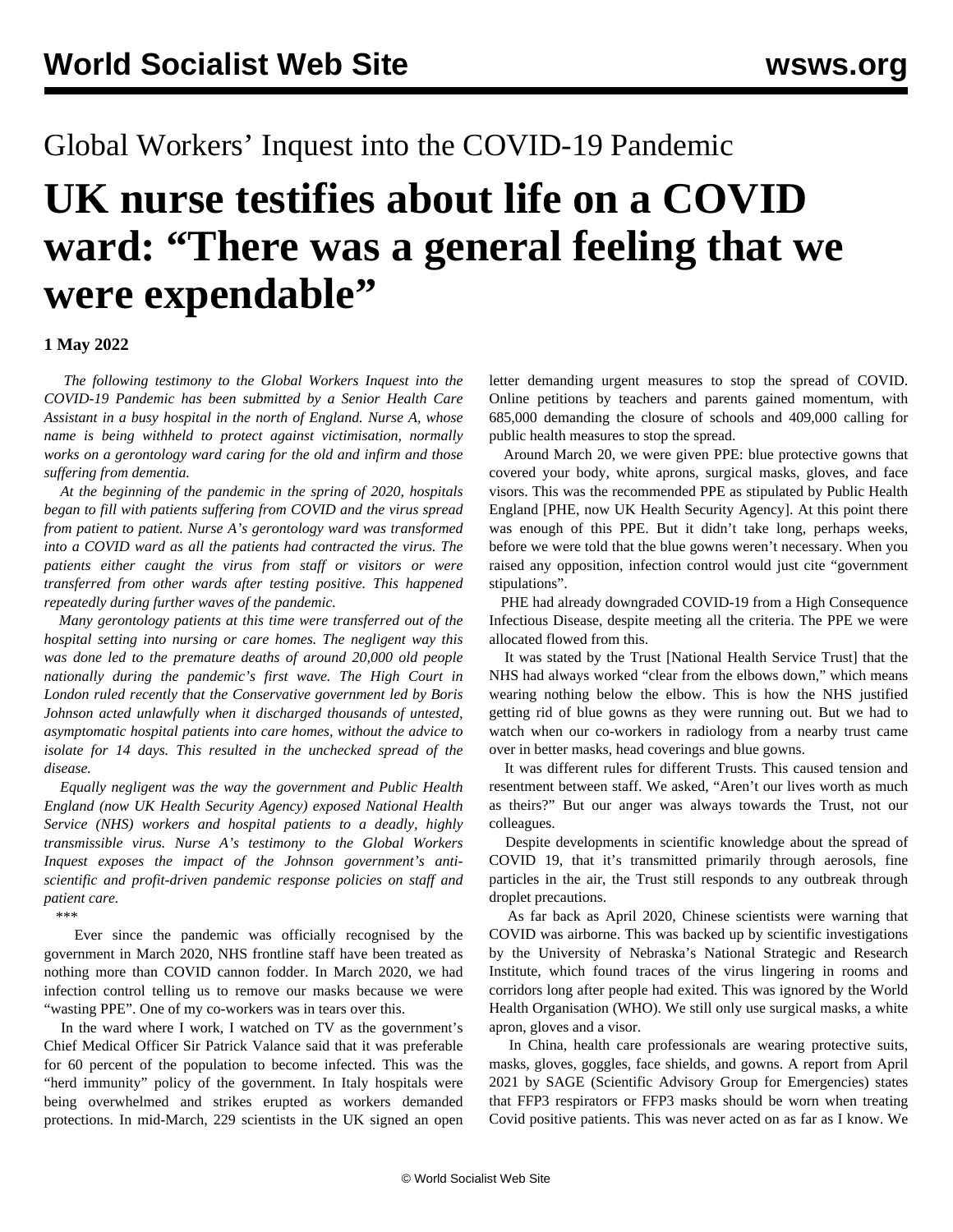## Global Workers' Inquest into the COVID-19 Pandemic

# **UK nurse testifies about life on a COVID ward: "There was a general feeling that we were expendable"**

#### **1 May 2022**

 *The following testimony to the Global Workers Inquest into the COVID-19 Pandemic has been submitted by a Senior Health Care Assistant in a busy hospital in the north of England. Nurse A, whose name is being withheld to protect against victimisation, normally works on a gerontology ward caring for the old and infirm and those suffering from dementia.* 

 *At the beginning of the pandemic in the spring of 2020, hospitals began to fill with patients suffering from COVID and the virus spread from patient to patient. Nurse A's gerontology ward was transformed into a COVID ward as all the patients had contracted the virus. The patients either caught the virus from staff or visitors or were transferred from other wards after testing positive. This happened repeatedly during further waves of the pandemic.* 

 *Many gerontology patients at this time were transferred out of the hospital setting into nursing or care homes. The negligent way this was done led to the premature deaths of around 20,000 old people nationally during the pandemic's first wave. The High Court in London ruled recently that the Conservative government led by Boris Johnson [acted unlawfully](/en/articles/2022/04/27/usia-a27.html) when it discharged thousands of untested, asymptomatic hospital patients into care homes, without the advice to isolate for 14 days. This resulted in the unchecked spread of the disease.* 

 *Equally negligent was the way the government and Public Health England (now UK Health Security Agency) exposed National Health Service (NHS) workers and hospital patients to a deadly, highly transmissible virus. Nurse A's testimony to the Global Workers Inquest exposes the impact of the Johnson government's antiscientific and profit-driven pandemic response policies on staff and patient care.* 

*\*\*\**

 Ever since the pandemic was officially recognised by the government in March 2020, NHS frontline staff have been treated as nothing more than COVID cannon fodder. In March 2020, we had infection control telling us to remove our masks because we were "wasting PPE". One of my co-workers was in tears over this.

 In the ward where I work, I watched on TV as the government's Chief Medical Officer Sir Patrick Valance said that it was preferable for 60 percent of the population to become infected. This was the "herd immunity" policy of the government. In Italy hospitals were being overwhelmed and strikes erupted as workers demanded protections. In mid-March, 229 scientists in the UK signed an open

letter demanding urgent measures to stop the spread of COVID. Online petitions by teachers and parents gained momentum, with 685,000 demanding the closure of schools and 409,000 calling for public health measures to stop the spread.

 Around March 20, we were given PPE: blue protective gowns that covered your body, white aprons, surgical masks, gloves, and face visors. This was the recommended PPE as stipulated by Public Health England [PHE, now UK Health Security Agency]. At this point there was enough of this PPE. But it didn't take long, perhaps weeks, before we were told that the blue gowns weren't necessary. When you raised any opposition, infection control would just cite "government stipulations".

 PHE had already downgraded COVID-19 from a High Consequence Infectious Disease, despite meeting all the criteria. The PPE we were allocated flowed from this.

 It was stated by the Trust [National Health Service Trust] that the NHS had always worked "clear from the elbows down," which means wearing nothing below the elbow. This is how the NHS justified getting rid of blue gowns as they were running out. But we had to watch when our co-workers in radiology from a nearby trust came over in better masks, head coverings and blue gowns.

 It was different rules for different Trusts. This caused tension and resentment between staff. We asked, "Aren't our lives worth as much as theirs?" But our anger was always towards the Trust, not our colleagues.

 Despite developments in scientific knowledge about the spread of COVID 19, that it's transmitted primarily through aerosols, fine particles in the air, the Trust still responds to any outbreak through droplet precautions.

 As far back as April 2020, Chinese scientists were warning that COVID was airborne. This was backed up by scientific investigations by the University of Nebraska's National Strategic and Research Institute, which found traces of the virus lingering in rooms and corridors long after people had exited. This was ignored by the World Health Organisation (WHO). We still only use surgical masks, a white apron, gloves and a visor.

 In China, health care professionals are wearing protective suits, masks, gloves, goggles, face shields, and gowns. A report from April 2021 by SAGE (Scientific Advisory Group for Emergencies) states that FFP3 respirators or FFP3 masks should be worn when treating Covid positive patients. This was never acted on as far as I know. We